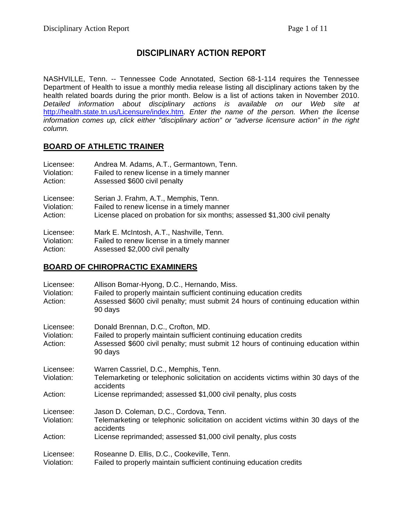# **DISCIPLINARY ACTION REPORT**

NASHVILLE, Tenn. -- Tennessee Code Annotated, Section 68-1-114 requires the Tennessee Department of Health to issue a monthly media release listing all disciplinary actions taken by the health related boards during the prior month. Below is a list of actions taken in November 2010. *Detailed information about disciplinary actions is available on our Web site at*  <http://health.state.tn.us/Licensure/index.htm>*. Enter the name of the person. When the license information comes up, click either "disciplinary action" or "adverse licensure action" in the right column.* 

## **BOARD OF ATHLETIC TRAINER**

| Licensee:<br>Violation:<br>Action: | Andrea M. Adams, A.T., Germantown, Tenn.<br>Failed to renew license in a timely manner<br>Assessed \$600 civil penalty                                            |  |
|------------------------------------|-------------------------------------------------------------------------------------------------------------------------------------------------------------------|--|
| Licensee:<br>Violation:<br>Action: | Serian J. Frahm, A.T., Memphis, Tenn.<br>Failed to renew license in a timely manner<br>License placed on probation for six months; assessed \$1,300 civil penalty |  |
| Licensee:<br>Violation:<br>Action: | Mark E. McIntosh, A.T., Nashville, Tenn.<br>Failed to renew license in a timely manner<br>Assessed \$2,000 civil penalty                                          |  |

### **BOARD OF CHIROPRACTIC EXAMINERS**

| Licensee:<br>Violation:<br>Action: | Allison Bomar-Hyong, D.C., Hernando, Miss.<br>Failed to properly maintain sufficient continuing education credits<br>Assessed \$600 civil penalty; must submit 24 hours of continuing education within<br>90 days |
|------------------------------------|-------------------------------------------------------------------------------------------------------------------------------------------------------------------------------------------------------------------|
| Licensee:<br>Violation:<br>Action: | Donald Brennan, D.C., Crofton, MD.<br>Failed to properly maintain sufficient continuing education credits<br>Assessed \$600 civil penalty; must submit 12 hours of continuing education within<br>90 days         |
| Licensee:<br>Violation:<br>Action: | Warren Cassriel, D.C., Memphis, Tenn.<br>Telemarketing or telephonic solicitation on accidents victims within 30 days of the<br>accidents<br>License reprimanded; assessed \$1,000 civil penalty, plus costs      |
| Licensee:<br>Violation:            | Jason D. Coleman, D.C., Cordova, Tenn.<br>Telemarketing or telephonic solicitation on accident victims within 30 days of the<br>accidents                                                                         |
| Action:                            | License reprimanded; assessed \$1,000 civil penalty, plus costs                                                                                                                                                   |
| Licensee:<br>Violation:            | Roseanne D. Ellis, D.C., Cookeville, Tenn.<br>Failed to properly maintain sufficient continuing education credits                                                                                                 |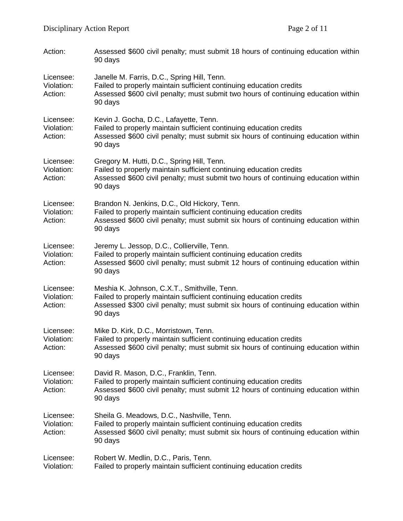| Action:                            | Assessed \$600 civil penalty; must submit 18 hours of continuing education within<br>90 days                                                                                                                         |
|------------------------------------|----------------------------------------------------------------------------------------------------------------------------------------------------------------------------------------------------------------------|
| Licensee:<br>Violation:<br>Action: | Janelle M. Farris, D.C., Spring Hill, Tenn.<br>Failed to properly maintain sufficient continuing education credits<br>Assessed \$600 civil penalty; must submit two hours of continuing education within<br>90 days  |
| Licensee:<br>Violation:<br>Action: | Kevin J. Gocha, D.C., Lafayette, Tenn.<br>Failed to properly maintain sufficient continuing education credits<br>Assessed \$600 civil penalty; must submit six hours of continuing education within<br>90 days       |
| Licensee:<br>Violation:<br>Action: | Gregory M. Hutti, D.C., Spring Hill, Tenn.<br>Failed to properly maintain sufficient continuing education credits<br>Assessed \$600 civil penalty; must submit two hours of continuing education within<br>90 days   |
| Licensee:<br>Violation:<br>Action: | Brandon N. Jenkins, D.C., Old Hickory, Tenn.<br>Failed to properly maintain sufficient continuing education credits<br>Assessed \$600 civil penalty; must submit six hours of continuing education within<br>90 days |
| Licensee:<br>Violation:<br>Action: | Jeremy L. Jessop, D.C., Collierville, Tenn.<br>Failed to properly maintain sufficient continuing education credits<br>Assessed \$600 civil penalty; must submit 12 hours of continuing education within<br>90 days   |
| Licensee:<br>Violation:<br>Action: | Meshia K. Johnson, C.X.T., Smithville, Tenn.<br>Failed to properly maintain sufficient continuing education credits<br>Assessed \$300 civil penalty; must submit six hours of continuing education within<br>90 days |
| Licensee:<br>Violation:<br>Action: | Mike D. Kirk, D.C., Morristown, Tenn.<br>Failed to properly maintain sufficient continuing education credits<br>Assessed \$600 civil penalty; must submit six hours of continuing education within<br>90 days        |
| Licensee:<br>Violation:<br>Action: | David R. Mason, D.C., Franklin, Tenn.<br>Failed to properly maintain sufficient continuing education credits<br>Assessed \$600 civil penalty; must submit 12 hours of continuing education within<br>90 days         |
| Licensee:<br>Violation:<br>Action: | Sheila G. Meadows, D.C., Nashville, Tenn.<br>Failed to properly maintain sufficient continuing education credits<br>Assessed \$600 civil penalty; must submit six hours of continuing education within<br>90 days    |
| Licensee:<br>Violation:            | Robert W. Medlin, D.C., Paris, Tenn.<br>Failed to properly maintain sufficient continuing education credits                                                                                                          |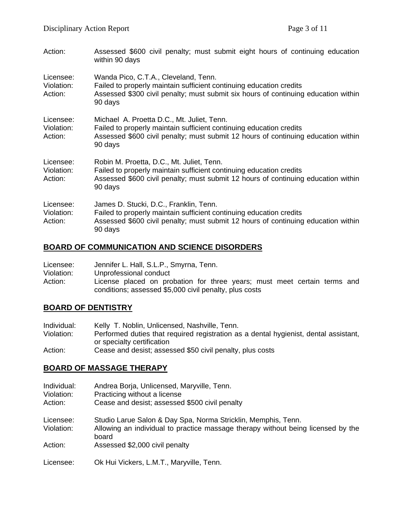| Action:                            | Assessed \$600 civil penalty; must submit eight hours of continuing education<br>within 90 days                                                                                                                   |
|------------------------------------|-------------------------------------------------------------------------------------------------------------------------------------------------------------------------------------------------------------------|
| Licensee:<br>Violation:<br>Action: | Wanda Pico, C.T.A., Cleveland, Tenn.<br>Failed to properly maintain sufficient continuing education credits<br>Assessed \$300 civil penalty; must submit six hours of continuing education within<br>90 days      |
| Licensee:<br>Violation:<br>Action: | Michael A. Proetta D.C., Mt. Juliet, Tenn.<br>Failed to properly maintain sufficient continuing education credits<br>Assessed \$600 civil penalty; must submit 12 hours of continuing education within<br>90 days |
| Licensee:<br>Violation:<br>Action: | Robin M. Proetta, D.C., Mt. Juliet, Tenn.<br>Failed to properly maintain sufficient continuing education credits<br>Assessed \$600 civil penalty; must submit 12 hours of continuing education within<br>90 days  |
| Licensee:<br>Violation:<br>Action: | James D. Stucki, D.C., Franklin, Tenn.<br>Failed to properly maintain sufficient continuing education credits<br>Assessed \$600 civil penalty; must submit 12 hours of continuing education within<br>90 days     |

## **BOARD OF COMMUNICATION AND SCIENCE DISORDERS**

| Licensee:  | Jennifer L. Hall, S.L.P., Smyrna, Tenn.                                  |
|------------|--------------------------------------------------------------------------|
| Violation: | Unprofessional conduct                                                   |
| Action:    | License placed on probation for three years; must meet certain terms and |
|            | conditions; assessed \$5,000 civil penalty, plus costs                   |

## **BOARD OF DENTISTRY**

| Individual: | Kelly T. Noblin, Unlicensed, Nashville, Tenn.                                        |
|-------------|--------------------------------------------------------------------------------------|
| Violation:  | Performed duties that required registration as a dental hygienist, dental assistant, |
|             | or specialty certification                                                           |
| Action:     | Cease and desist; assessed \$50 civil penalty, plus costs                            |

#### **BOARD OF MASSAGE THERAPY**

| Individual:<br>Violation: | Andrea Borja, Unlicensed, Maryville, Tenn.<br>Practicing without a license                |
|---------------------------|-------------------------------------------------------------------------------------------|
| Action:                   | Cease and desist; assessed \$500 civil penalty                                            |
| Licensee:                 | Studio Larue Salon & Day Spa, Norma Stricklin, Memphis, Tenn.                             |
| Violation:                | Allowing an individual to practice massage therapy without being licensed by the<br>board |
| Action:                   | Assessed \$2,000 civil penalty                                                            |
| Licensee:                 | Ok Hui Vickers, L.M.T., Maryville, Tenn.                                                  |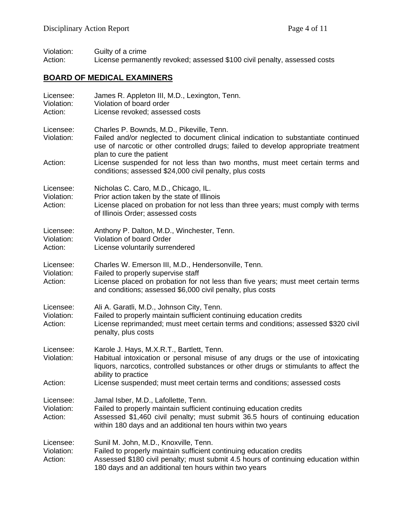Violation: Guilty of a crime Action: License permanently revoked; assessed \$100 civil penalty, assessed costs

# **BOARD OF MEDICAL EXAMINERS**

| Licensee:<br>Violation:<br>Action: | James R. Appleton III, M.D., Lexington, Tenn.<br>Violation of board order<br>License revoked; assessed costs                                                                                                                                                  |
|------------------------------------|---------------------------------------------------------------------------------------------------------------------------------------------------------------------------------------------------------------------------------------------------------------|
| Licensee:<br>Violation:            | Charles P. Bownds, M.D., Pikeville, Tenn.<br>Failed and/or neglected to document clinical indication to substantiate continued<br>use of narcotic or other controlled drugs; failed to develop appropriate treatment<br>plan to cure the patient              |
| Action:                            | License suspended for not less than two months, must meet certain terms and<br>conditions; assessed \$24,000 civil penalty, plus costs                                                                                                                        |
| Licensee:<br>Violation:<br>Action: | Nicholas C. Caro, M.D., Chicago, IL.<br>Prior action taken by the state of Illinois<br>License placed on probation for not less than three years; must comply with terms<br>of Illinois Order; assessed costs                                                 |
| Licensee:<br>Violation:<br>Action: | Anthony P. Dalton, M.D., Winchester, Tenn.<br>Violation of board Order<br>License voluntarily surrendered                                                                                                                                                     |
| Licensee:<br>Violation:<br>Action: | Charles W. Emerson III, M.D., Hendersonville, Tenn.<br>Failed to properly supervise staff<br>License placed on probation for not less than five years; must meet certain terms<br>and conditions; assessed \$6,000 civil penalty, plus costs                  |
| Licensee:<br>Violation:<br>Action: | Ali A. Garatli, M.D., Johnson City, Tenn.<br>Failed to properly maintain sufficient continuing education credits<br>License reprimanded; must meet certain terms and conditions; assessed \$320 civil<br>penalty, plus costs                                  |
| Licensee:<br>Violation:            | Karole J. Hays, M.X.R.T., Bartlett, Tenn.<br>Habitual intoxication or personal misuse of any drugs or the use of intoxicating<br>liquors, narcotics, controlled substances or other drugs or stimulants to affect the<br>ability to practice                  |
| Action:                            | License suspended; must meet certain terms and conditions; assessed costs                                                                                                                                                                                     |
| Licensee:<br>Violation:<br>Action: | Jamal Isber, M.D., Lafollette, Tenn.<br>Failed to properly maintain sufficient continuing education credits<br>Assessed \$1,460 civil penalty; must submit 36.5 hours of continuing education<br>within 180 days and an additional ten hours within two years |
| Licensee:<br>Violation:<br>Action: | Sunil M. John, M.D., Knoxville, Tenn.<br>Failed to properly maintain sufficient continuing education credits<br>Assessed \$180 civil penalty; must submit 4.5 hours of continuing education within<br>180 days and an additional ten hours within two years   |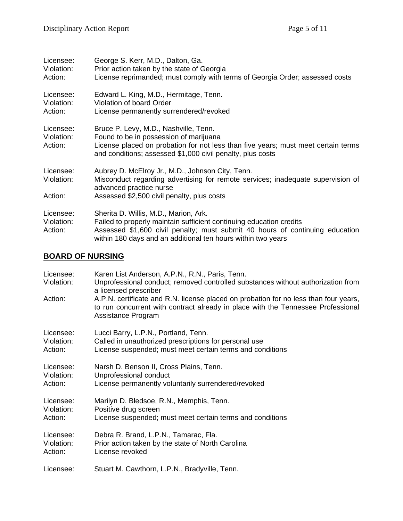| Licensee:<br>Violation:<br>Action: | George S. Kerr, M.D., Dalton, Ga.<br>Prior action taken by the state of Georgia<br>License reprimanded; must comply with terms of Georgia Order; assessed costs                                                                                              |
|------------------------------------|--------------------------------------------------------------------------------------------------------------------------------------------------------------------------------------------------------------------------------------------------------------|
| Licensee:<br>Violation:<br>Action: | Edward L. King, M.D., Hermitage, Tenn.<br>Violation of board Order<br>License permanently surrendered/revoked                                                                                                                                                |
| Licensee:<br>Violation:<br>Action: | Bruce P. Levy, M.D., Nashville, Tenn.<br>Found to be in possession of marijuana<br>License placed on probation for not less than five years; must meet certain terms<br>and conditions; assessed \$1,000 civil penalty, plus costs                           |
| Licensee:<br>Violation:            | Aubrey D. McElroy Jr., M.D., Johnson City, Tenn.<br>Misconduct regarding advertising for remote services; inadequate supervision of<br>advanced practice nurse                                                                                               |
| Action:                            | Assessed \$2,500 civil penalty, plus costs                                                                                                                                                                                                                   |
| Licensee:<br>Violation:<br>Action: | Sherita D. Willis, M.D., Marion, Ark.<br>Failed to properly maintain sufficient continuing education credits<br>Assessed \$1,600 civil penalty; must submit 40 hours of continuing education<br>within 180 days and an additional ten hours within two years |

# **BOARD OF NURSING**

| Licensee:<br>Violation: | Karen List Anderson, A.P.N., R.N., Paris, Tenn.<br>Unprofessional conduct; removed controlled substances without authorization from<br>a licensed prescriber                                   |
|-------------------------|------------------------------------------------------------------------------------------------------------------------------------------------------------------------------------------------|
| Action:                 | A.P.N. certificate and R.N. license placed on probation for no less than four years,<br>to run concurrent with contract already in place with the Tennessee Professional<br>Assistance Program |
| Licensee:               | Lucci Barry, L.P.N., Portland, Tenn.                                                                                                                                                           |
| Violation:              | Called in unauthorized prescriptions for personal use                                                                                                                                          |
| Action:                 | License suspended; must meet certain terms and conditions                                                                                                                                      |
| Licensee:               | Narsh D. Benson II, Cross Plains, Tenn.                                                                                                                                                        |
| Violation:              | Unprofessional conduct                                                                                                                                                                         |
| Action:                 | License permanently voluntarily surrendered/revoked                                                                                                                                            |
| Licensee:<br>Violation: | Marilyn D. Bledsoe, R.N., Memphis, Tenn.<br>Positive drug screen                                                                                                                               |
| Action:                 | License suspended; must meet certain terms and conditions                                                                                                                                      |
| Licensee:               | Debra R. Brand, L.P.N., Tamarac, Fla.                                                                                                                                                          |
| Violation:<br>Action:   | Prior action taken by the state of North Carolina<br>License revoked                                                                                                                           |
|                         |                                                                                                                                                                                                |
| Licensee:               | Stuart M. Cawthorn, L.P.N., Bradyville, Tenn.                                                                                                                                                  |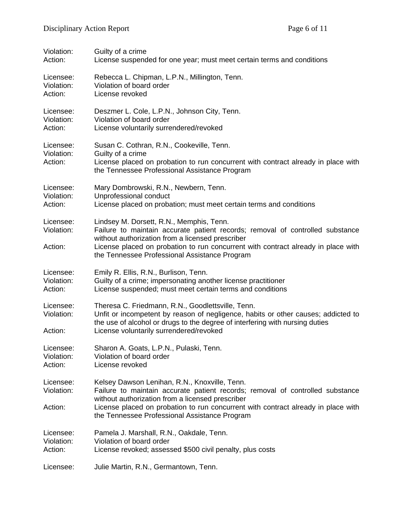| Violation:                         | Guilty of a crime                                                                                                                                                                                                                                                                                                   |
|------------------------------------|---------------------------------------------------------------------------------------------------------------------------------------------------------------------------------------------------------------------------------------------------------------------------------------------------------------------|
| Action:                            | License suspended for one year; must meet certain terms and conditions                                                                                                                                                                                                                                              |
| Licensee:                          | Rebecca L. Chipman, L.P.N., Millington, Tenn.                                                                                                                                                                                                                                                                       |
| Violation:                         | Violation of board order                                                                                                                                                                                                                                                                                            |
| Action:                            | License revoked                                                                                                                                                                                                                                                                                                     |
| Licensee:                          | Deszmer L. Cole, L.P.N., Johnson City, Tenn.                                                                                                                                                                                                                                                                        |
| Violation:                         | Violation of board order                                                                                                                                                                                                                                                                                            |
| Action:                            | License voluntarily surrendered/revoked                                                                                                                                                                                                                                                                             |
| Licensee:<br>Violation:<br>Action: | Susan C. Cothran, R.N., Cookeville, Tenn.<br>Guilty of a crime<br>License placed on probation to run concurrent with contract already in place with<br>the Tennessee Professional Assistance Program                                                                                                                |
| Licensee:                          | Mary Dombrowski, R.N., Newbern, Tenn.                                                                                                                                                                                                                                                                               |
| Violation:                         | Unprofessional conduct                                                                                                                                                                                                                                                                                              |
| Action:                            | License placed on probation; must meet certain terms and conditions                                                                                                                                                                                                                                                 |
| Licensee:<br>Violation:<br>Action: | Lindsey M. Dorsett, R.N., Memphis, Tenn.<br>Failure to maintain accurate patient records; removal of controlled substance<br>without authorization from a licensed prescriber<br>License placed on probation to run concurrent with contract already in place with<br>the Tennessee Professional Assistance Program |
| Licensee:                          | Emily R. Ellis, R.N., Burlison, Tenn.                                                                                                                                                                                                                                                                               |
| Violation:                         | Guilty of a crime; impersonating another license practitioner                                                                                                                                                                                                                                                       |
| Action:                            | License suspended; must meet certain terms and conditions                                                                                                                                                                                                                                                           |
| Licensee:<br>Violation:<br>Action: | Theresa C. Friedmann, R.N., Goodlettsville, Tenn.<br>Unfit or incompetent by reason of negligence, habits or other causes; addicted to<br>the use of alcohol or drugs to the degree of interfering with nursing duties<br>License voluntarily surrendered/revoked                                                   |
| Licensee:                          | Sharon A. Goats, L.P.N., Pulaski, Tenn.                                                                                                                                                                                                                                                                             |
| Violation:                         | Violation of board order                                                                                                                                                                                                                                                                                            |
| Action:                            | License revoked                                                                                                                                                                                                                                                                                                     |
| Licensee:<br>Violation:            | Kelsey Dawson Lenihan, R.N., Knoxville, Tenn.<br>Failure to maintain accurate patient records; removal of controlled substance<br>without authorization from a licensed prescriber                                                                                                                                  |
| Action:                            | License placed on probation to run concurrent with contract already in place with<br>the Tennessee Professional Assistance Program                                                                                                                                                                                  |
| Licensee:                          | Pamela J. Marshall, R.N., Oakdale, Tenn.                                                                                                                                                                                                                                                                            |
| Violation:                         | Violation of board order                                                                                                                                                                                                                                                                                            |
| Action:                            | License revoked; assessed \$500 civil penalty, plus costs                                                                                                                                                                                                                                                           |
| Licensee:                          | Julie Martin, R.N., Germantown, Tenn.                                                                                                                                                                                                                                                                               |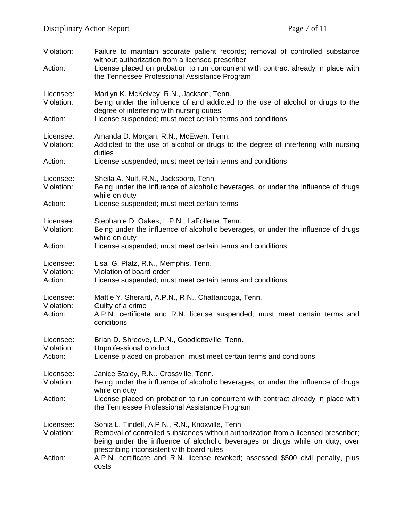| Violation:<br>Action:              | Failure to maintain accurate patient records; removal of controlled substance<br>without authorization from a licensed prescriber<br>License placed on probation to run concurrent with contract already in place with<br>the Tennessee Professional Assistance Program |
|------------------------------------|-------------------------------------------------------------------------------------------------------------------------------------------------------------------------------------------------------------------------------------------------------------------------|
| Licensee:<br>Violation:            | Marilyn K. McKelvey, R.N., Jackson, Tenn.<br>Being under the influence of and addicted to the use of alcohol or drugs to the<br>degree of interfering with nursing duties                                                                                               |
| Action:                            | License suspended; must meet certain terms and conditions                                                                                                                                                                                                               |
| Licensee:<br>Violation:            | Amanda D. Morgan, R.N., McEwen, Tenn.<br>Addicted to the use of alcohol or drugs to the degree of interfering with nursing<br>duties                                                                                                                                    |
| Action:                            | License suspended; must meet certain terms and conditions                                                                                                                                                                                                               |
| Licensee:<br>Violation:            | Sheila A. Nulf, R.N., Jacksboro, Tenn.<br>Being under the influence of alcoholic beverages, or under the influence of drugs<br>while on duty                                                                                                                            |
| Action:                            | License suspended; must meet certain terms                                                                                                                                                                                                                              |
| Licensee:<br>Violation:            | Stephanie D. Oakes, L.P.N., LaFollette, Tenn.<br>Being under the influence of alcoholic beverages, or under the influence of drugs<br>while on duty                                                                                                                     |
| Action:                            | License suspended; must meet certain terms and conditions                                                                                                                                                                                                               |
| Licensee:<br>Violation:<br>Action: | Lisa G. Platz, R.N., Memphis, Tenn.<br>Violation of board order<br>License suspended; must meet certain terms and conditions                                                                                                                                            |
| Licensee:<br>Violation:<br>Action: | Mattie Y. Sherard, A.P.N., R.N., Chattanooga, Tenn.<br>Guilty of a crime<br>A.P.N. certificate and R.N. license suspended; must meet certain terms and<br>conditions                                                                                                    |
| Licensee:<br>Violation:<br>Action: | Brian D. Shreeve, L.P.N., Goodlettsville, Tenn.<br>Unprofessional conduct<br>License placed on probation; must meet certain terms and conditions                                                                                                                        |
| Licensee:<br>Violation:            | Janice Staley, R.N., Crossville, Tenn.<br>Being under the influence of alcoholic beverages, or under the influence of drugs<br>while on duty                                                                                                                            |
| Action:                            | License placed on probation to run concurrent with contract already in place with<br>the Tennessee Professional Assistance Program                                                                                                                                      |
| Licensee:<br>Violation:            | Sonia L. Tindell, A.P.N., R.N., Knoxville, Tenn.<br>Removal of controlled substances without authorization from a licensed prescriber;<br>being under the influence of alcoholic beverages or drugs while on duty; over<br>prescribing inconsistent with board rules    |
| Action:                            | A.P.N. certificate and R.N. license revoked; assessed \$500 civil penalty, plus<br>costs                                                                                                                                                                                |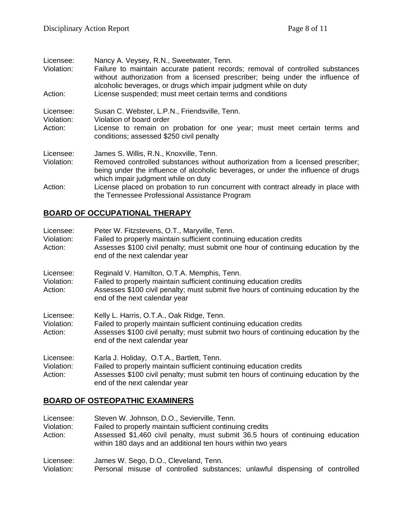| Licensee:<br>Violation:            | Nancy A. Veysey, R.N., Sweetwater, Tenn.<br>Failure to maintain accurate patient records; removal of controlled substances<br>without authorization from a licensed prescriber; being under the influence of<br>alcoholic beverages, or drugs which impair judgment while on duty |
|------------------------------------|-----------------------------------------------------------------------------------------------------------------------------------------------------------------------------------------------------------------------------------------------------------------------------------|
| Action:                            | License suspended; must meet certain terms and conditions                                                                                                                                                                                                                         |
| Licensee:<br>Violation:<br>Action: | Susan C. Webster, L.P.N., Friendsville, Tenn.<br>Violation of board order<br>License to remain on probation for one year; must meet certain terms and<br>conditions; assessed \$250 civil penalty                                                                                 |
| Licensee:<br>Violation:            | James S. Willis, R.N., Knoxville, Tenn.<br>Removed controlled substances without authorization from a licensed prescriber;<br>being under the influence of alcoholic beverages, or under the influence of drugs<br>which impair judgment while on duty                            |
| Action:                            | License placed on probation to run concurrent with contract already in place with<br>the Tennessee Professional Assistance Program                                                                                                                                                |

### **BOARD OF OCCUPATIONAL THERAPY**

| Licensee:<br>Violation:<br>Action: | Peter W. Fitzstevens, O.T., Maryville, Tenn.<br>Failed to properly maintain sufficient continuing education credits<br>Assesses \$100 civil penalty; must submit one hour of continuing education by the<br>end of the next calendar year  |
|------------------------------------|--------------------------------------------------------------------------------------------------------------------------------------------------------------------------------------------------------------------------------------------|
| Licensee:<br>Violation:<br>Action: | Reginald V. Hamilton, O.T.A. Memphis, Tenn.<br>Failed to properly maintain sufficient continuing education credits<br>Assesses \$100 civil penalty; must submit five hours of continuing education by the<br>end of the next calendar year |
| Licensee:<br>Violation:<br>Action: | Kelly L. Harris, O.T.A., Oak Ridge, Tenn.<br>Failed to properly maintain sufficient continuing education credits<br>Assesses \$100 civil penalty; must submit two hours of continuing education by the<br>end of the next calendar year    |
| Licensee:<br>Violation:<br>Action: | Karla J. Holiday, O.T.A., Bartlett, Tenn.<br>Failed to properly maintain sufficient continuing education credits<br>Assesses \$100 civil penalty; must submit ten hours of continuing education by the<br>end of the next calendar year    |

### **BOARD OF OSTEOPATHIC EXAMINERS**

Licensee: Steven W. Johnson, D.O., Sevierville, Tenn. Violation: Failed to properly maintain sufficient continuing credits Action: Assessed \$1,460 civil penalty, must submit 36.5 hours of continuing education within 180 days and an additional ten hours within two years Licensee: James W. Sego, D.O., Cleveland, Tenn. Violation: Personal misuse of controlled substances; unlawful dispensing of controlled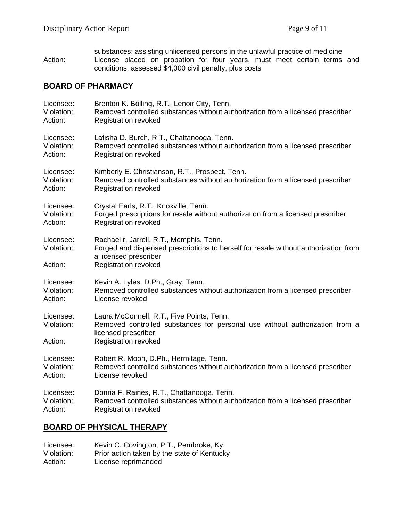substances; assisting unlicensed persons in the unlawful practice of medicine Action: License placed on probation for four years, must meet certain terms and conditions; assessed \$4,000 civil penalty, plus costs

#### **BOARD OF PHARMACY**

| Licensee:                          | Brenton K. Bolling, R.T., Lenoir City, Tenn.                                                                                                                                            |
|------------------------------------|-----------------------------------------------------------------------------------------------------------------------------------------------------------------------------------------|
| Violation:                         | Removed controlled substances without authorization from a licensed prescriber                                                                                                          |
| Action:                            | <b>Registration revoked</b>                                                                                                                                                             |
| Licensee:                          | Latisha D. Burch, R.T., Chattanooga, Tenn.                                                                                                                                              |
| Violation:                         | Removed controlled substances without authorization from a licensed prescriber                                                                                                          |
| Action:                            | <b>Registration revoked</b>                                                                                                                                                             |
| Licensee:                          | Kimberly E. Christianson, R.T., Prospect, Tenn.                                                                                                                                         |
| Violation:                         | Removed controlled substances without authorization from a licensed prescriber                                                                                                          |
| Action:                            | <b>Registration revoked</b>                                                                                                                                                             |
| Licensee:                          | Crystal Earls, R.T., Knoxville, Tenn.                                                                                                                                                   |
| Violation:                         | Forged prescriptions for resale without authorization from a licensed prescriber                                                                                                        |
| Action:                            | <b>Registration revoked</b>                                                                                                                                                             |
| Licensee:<br>Violation:<br>Action: | Rachael r. Jarrell, R.T., Memphis, Tenn.<br>Forged and dispensed prescriptions to herself for resale without authorization from<br>a licensed prescriber<br><b>Registration revoked</b> |
| Licensee:                          | Kevin A. Lyles, D.Ph., Gray, Tenn.                                                                                                                                                      |
| Violation:                         | Removed controlled substances without authorization from a licensed prescriber                                                                                                          |
| Action:                            | License revoked                                                                                                                                                                         |
| Licensee:<br>Violation:<br>Action: | Laura McConnell, R.T., Five Points, Tenn.<br>Removed controlled substances for personal use without authorization from a<br>licensed prescriber<br><b>Registration revoked</b>          |
| Licensee:                          | Robert R. Moon, D.Ph., Hermitage, Tenn.                                                                                                                                                 |
| Violation:                         | Removed controlled substances without authorization from a licensed prescriber                                                                                                          |
| Action:                            | License revoked                                                                                                                                                                         |
| Licensee:                          | Donna F. Raines, R.T., Chattanooga, Tenn.                                                                                                                                               |
| Violation:                         | Removed controlled substances without authorization from a licensed prescriber                                                                                                          |
| Action:                            | <b>Registration revoked</b>                                                                                                                                                             |

#### **BOARD OF PHYSICAL THERAPY**

| Licensee:  | Kevin C. Covington, P.T., Pembroke, Ky.     |
|------------|---------------------------------------------|
| Violation: | Prior action taken by the state of Kentucky |
| Action:    | License reprimanded                         |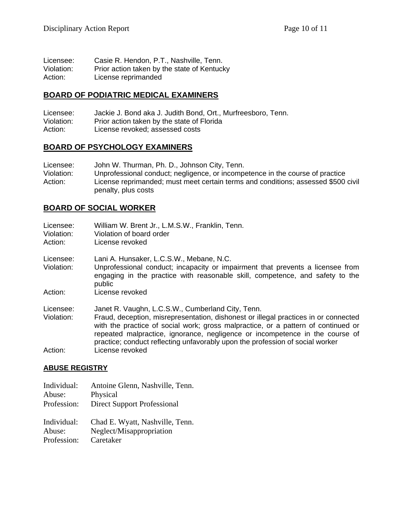| Licensee:  | Casie R. Hendon, P.T., Nashville, Tenn.     |
|------------|---------------------------------------------|
| Violation: | Prior action taken by the state of Kentucky |
| Action:    | License reprimanded                         |

#### **BOARD OF PODIATRIC MEDICAL EXAMINERS**

| Licensee:  | Jackie J. Bond aka J. Judith Bond, Ort., Murfreesboro, Tenn. |
|------------|--------------------------------------------------------------|
| Violation: | Prior action taken by the state of Florida                   |
| Action:    | License revoked; assessed costs                              |

#### **BOARD OF PSYCHOLOGY EXAMINERS**

| Licensee:  | John W. Thurman, Ph. D., Johnson City, Tenn.                                                             |
|------------|----------------------------------------------------------------------------------------------------------|
| Violation: | Unprofessional conduct; negligence, or incompetence in the course of practice                            |
| Action:    | License reprimanded; must meet certain terms and conditions; assessed \$500 civil<br>penalty, plus costs |

#### **BOARD OF SOCIAL WORKER**

| Licensee:<br>Violation:<br>Action: | William W. Brent Jr., L.M.S.W., Franklin, Tenn.<br>Violation of board order<br>License revoked                                                                                                                                                                                                                                                                                                 |
|------------------------------------|------------------------------------------------------------------------------------------------------------------------------------------------------------------------------------------------------------------------------------------------------------------------------------------------------------------------------------------------------------------------------------------------|
| Licensee:<br>Violation:            | Lani A. Hunsaker, L.C.S.W., Mebane, N.C.<br>Unprofessional conduct; incapacity or impairment that prevents a licensee from<br>engaging in the practice with reasonable skill, competence, and safety to the<br>public                                                                                                                                                                          |
| Action:                            | License revoked                                                                                                                                                                                                                                                                                                                                                                                |
| Licensee:<br>Violation:            | Janet R. Vaughn, L.C.S.W., Cumberland City, Tenn.<br>Fraud, deception, misrepresentation, dishonest or illegal practices in or connected<br>with the practice of social work; gross malpractice, or a pattern of continued or<br>repeated malpractice, ignorance, negligence or incompetence in the course of<br>practice; conduct reflecting unfavorably upon the profession of social worker |
| Action:                            | License revoked                                                                                                                                                                                                                                                                                                                                                                                |

#### **ABUSE REGISTRY**

Individual: Antoine Glenn, Nashville, Tenn. Abuse: Physical Profession: Direct Support Professional Individual: Chad E. Wyatt, Nashville, Tenn. Abuse: Neglect/Misappropriation Profession: Caretaker